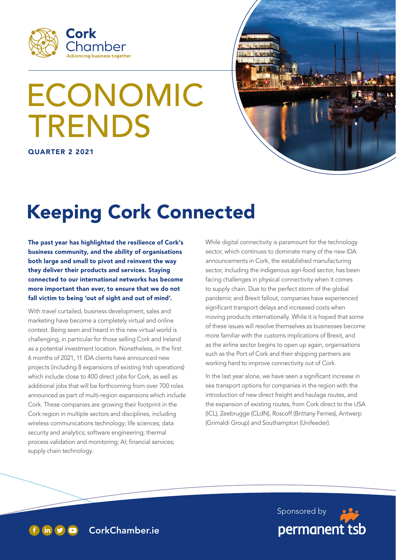

# ECONOMIC TRENDS

QUARTER 2 2021



# Keeping Cork Connected

The past year has highlighted the resilience of Cork's business community, and the ability of organisations both large and small to pivot and reinvent the way they deliver their products and services. Staying connected to our international networks has become more important than ever, to ensure that we do not fall victim to being 'out of sight and out of mind'.

With travel curtailed, business development, sales and marketing have become a completely virtual and online contest. Being seen and heard in this new virtual world is challenging, in particular for those selling Cork and Ireland as a potential investment location. Nonetheless, in the first 6 months of 2021, 11 IDA clients have announced new projects (including 8 expansions of existing Irish operations) which include close to 400 direct jobs for Cork, as well as additional jobs that will be forthcoming from over 700 roles announced as part of multi-region expansions which include Cork. These companies are growing their footprint in the Cork region in multiple sectors and disciplines, including wireless communications technology; life sciences; data security and analytics; software engineering; thermal process validation and monitoring; AI; financial services; supply chain technology.

While digital connectivity is paramount for the technology sector, which continues to dominate many of the new IDA announcements in Cork, the established manufacturing sector, including the indigenous agri-food sector, has been facing challenges in physical connectivity when it comes to supply chain. Due to the perfect storm of the global pandemic and Brexit fallout, companies have experienced significant transport delays and increased costs when moving products internationally. While it is hoped that some of these issues will resolve themselves as businesses become more familiar with the customs implications of Brexit, and as the airline sector begins to open up again, organisations such as the Port of Cork and their shipping partners are working hard to improve connectivity out of Cork.

In the last year alone, we have seen a significant increase in sea transport options for companies in the region with the introduction of new direct freight and haulage routes, and the expansion of existing routes, from Cork direct to the USA (ICL), Zeebrugge (CLdN), Roscoff (Brittany Ferries), Antwerp (Grimaldi Group) and Southampton (Unifeeder).



f in  $\bullet$  CorkChamber.ie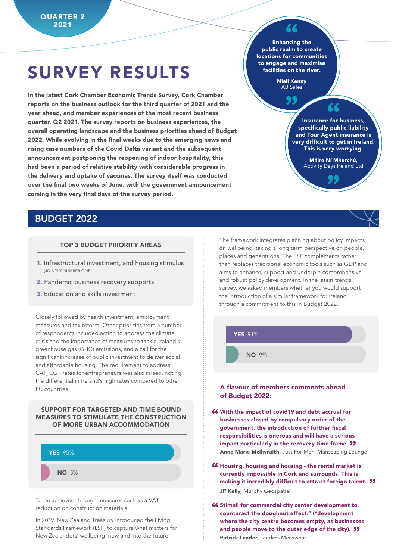## SURVEY RESULTS

In the latest Cork Chamber Economic Trends Survey, Cork Chamber reports on the business outlook for the third quarter of 2021 and the year ahead, and member experiences of the most recent business quarter, Q2 2021. The survey reports on business experiences, the overall operating landscape and the business priorities ahead of Budget 2022. While evolving in the final weeks due to the emerging news and rising case numbers of the Covid Delta variant and the subsequent announcement postponing the reopening of indoor hospitality, this had been a period of relative stability with considerable progress in the delivery and uptake of vaccines. The survey itself was conducted over the final two weeks of June, with the government announcement coming in the very final days of the survey period.

Enhancing the public realm to create locations for communities to engage and maximise facilities on the river.

> Niall Kenny AB Sales

> > 99

Insurance for business, specifically public liability and Tour Agent insurance is very difficult to get in Ireland. This is very worrying.

> Máire Ní Mhurchú, Activity Days Ireland Ltd

#### BUDGET 2022

#### TOP 3 BUDGET PRIORITY AREAS

- 1. Infrastructural investment, and housing stimulus (JOINTLY NUMBER ONE)
- 2. Pandemic business recovery supports
- 3. Education and skills investment

Closely followed by health investment, employment measures and tax reform. Other priorities from a number of respondents included action to address the climate crisis and the importance of measures to tackle Ireland's greenhouse gas (GHG) emissions, and a call for the significant increase of public investment to deliver social and affordable housing. The requirement to address CAT, CGT rates for entrepreneurs was also raised, noting the differential in Ireland's high rates compared to other EU countries.

#### SUPPORT FOR TARGETED AND TIME BOUND MEASURES TO STIMULATE THE CONSTRUCTION OF MORE URBAN ACCOMMODATION



To be achieved through measures such as a VAT reduction on construction materials.

In 2019, New Zealand Treasury introduced the Living Standards Framework (LSF) to capture what matters for New Zealanders' wellbeing, now and into the future.

The framework integrates planning about policy impacts on wellbeing, taking a long term perspective on people, places and generations. The LSF complements rather than replaces traditional economic tools such as GDP and aims to enhance, support and underpin comprehensive and robust policy development. In the latest trends survey, we asked members whether you would support the introduction of a similar framework for Ireland through a commitment to this in Budget 2022.



#### A flavour of members comments ahead of Budget 2022:

- **46** With the impact of covid19 and debt accrual for businesses closed by compulsory order of the businesses closed by compulsory order of the government, the introduction of further fiscal responsibilities is onerous and will have a serious responsibilities is onerous and will nave a serious<br>impact particularly in the recovery time frame. **??** Anne Marie McIlwraith, Just For Men, Manscaping Lounge
- **46 Housing, housing and housing the rental market is currently impossible in Cork and surrounds. This is** currently impossible in Cork and surrounds. This is making it incredibly difficult to attract foreign talent. **''** JP Kelly, Murphy Geospatial
- **46 Stimuli for commercial city center development to counteract the doughnut effect." (\*development** counteract the doughnut effect." (\*development where the city centre becomes empty, as businesses and people move to the outer edge of the city). **''** Patrick Leader, Leaders Menswear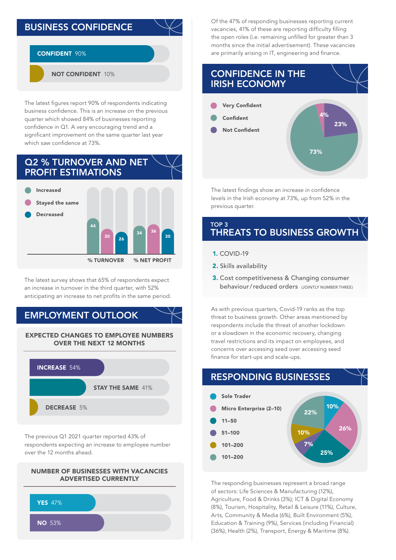#### BUSINESS CONFIDENCE

#### CONFIDENT 90%

NOT CONFIDENT 10%

The latest figures report 90% of respondents indicating business confidence. This is an increase on the previous quarter which showed 84% of businesses reporting confidence in Q1. A very encouraging trend and a significant improvement on the same quarter last year which saw confidence at 73%.



The latest survey shows that 65% of respondents expect an increase in turnover in the third quarter, with 52% anticipating an increase to net profits in the same period.

#### EMPLOYMENT OUTLOOK



The previous Q1 2021 quarter reported 43% of respondents expecting an increase to employee number over the 12 months ahead.





Of the 47% of responding businesses reporting current vacancies, 41% of these are reporting difficulty filling the open roles (i.e. remaining unfilled for greater than 3 months since the initial advertisement). These vacancies are primarily arising in IT, engineering and finance.



The latest findings show an increase in confidence levels in the Irish economy at 73%, up from 52% in the previous quarter.

#### TOP 3 **THREATS TO BUSINESS GROWTH**

- 1. COVID-19
- 2. Skills availability
- 3. Cost competitiveness & Changing consumer behaviour/reduced orders (JOINTLY NUMBER THREE)

As with previous quarters, Covid-19 ranks as the top threat to business growth. Other areas mentioned by respondents include the threat of another lockdown or a slowdown in the economic recovery, changing travel restrictions and its impact on employees, and concerns over accessing seed over accessing seed finance for start-ups and scale-ups.



The responding businesses represent a broad range of sectors: Life Sciences & Manufacturing (12%), Agriculture, Food & Drinks (3%); ICT & Digital Economy (8%), Tourism, Hospitality, Retail & Leisure (11%), Culture, Arts, Community & Media (6%), Built Environment (5%), Education & Training (9%), Services (including Financial) (36%), Health (2%), Transport, Energy & Maritime (8%).